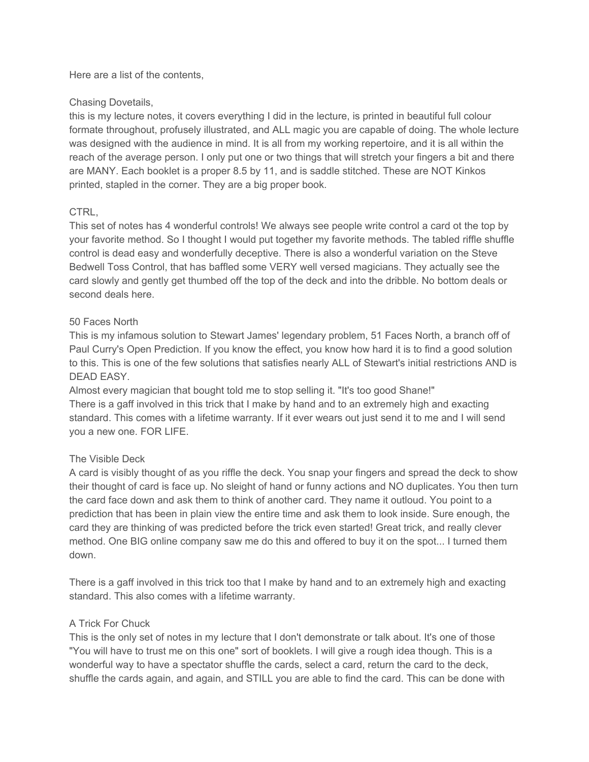Here are a list of the contents,

## Chasing Dovetails,

this is my lecture notes, it covers everything I did in the lecture, is printed in beautiful full colour formate throughout, profusely illustrated, and ALL magic you are capable of doing. The whole lecture was designed with the audience in mind. It is all from my working repertoire, and it is all within the reach of the average person. I only put one or two things that will stretch your fingers a bit and there are MANY. Each booklet is a proper 8.5 by 11, and is saddle stitched. These are NOT Kinkos printed, stapled in the corner. They are a big proper book.

### CTRL,

This set of notes has 4 wonderful controls! We always see people write control a card ot the top by your favorite method. So I thought I would put together my favorite methods. The tabled riffle shuffle control is dead easy and wonderfully deceptive. There is also a wonderful variation on the Steve Bedwell Toss Control, that has baffled some VERY well versed magicians. They actually see the card slowly and gently get thumbed off the top of the deck and into the dribble. No bottom deals or second deals here.

### 50 Faces North

This is my infamous solution to Stewart James' legendary problem, 51 Faces North, a branch off of Paul Curry's Open Prediction. If you know the effect, you know how hard it is to find a good solution to this. This is one of the few solutions that satisfies nearly ALL of Stewart's initial restrictions AND is DEAD EASY.

Almost every magician that bought told me to stop selling it. "It's too good Shane!" There is a gaff involved in this trick that I make by hand and to an extremely high and exacting standard. This comes with a lifetime warranty. If it ever wears out just send it to me and I will send you a new one. FOR LIFE.

# The Visible Deck

A card is visibly thought of as you riffle the deck. You snap your fingers and spread the deck to show their thought of card is face up. No sleight of hand or funny actions and NO duplicates. You then turn the card face down and ask them to think of another card. They name it outloud. You point to a prediction that has been in plain view the entire time and ask them to look inside. Sure enough, the card they are thinking of was predicted before the trick even started! Great trick, and really clever method. One BIG online company saw me do this and offered to buy it on the spot... I turned them down.

There is a gaff involved in this trick too that I make by hand and to an extremely high and exacting standard. This also comes with a lifetime warranty.

# A Trick For Chuck

This is the only set of notes in my lecture that I don't demonstrate or talk about. It's one of those "You will have to trust me on this one" sort of booklets. I will give a rough idea though. This is a wonderful way to have a spectator shuffle the cards, select a card, return the card to the deck, shuffle the cards again, and again, and STILL you are able to find the card. This can be done with